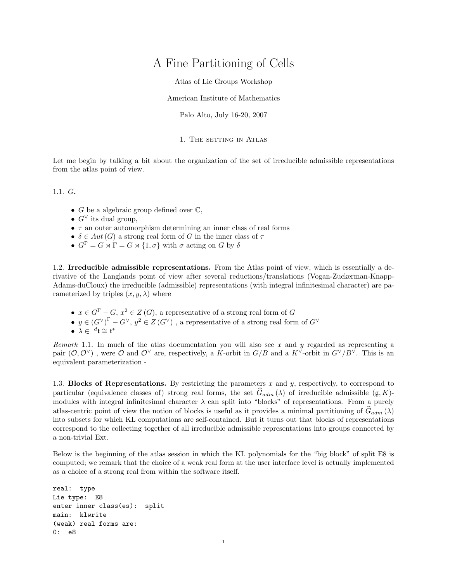## A Fine Partitioning of Cells

## Atlas of Lie Groups Workshop

American Institute of Mathematics

Palo Alto, July 16-20, 2007

1. The setting in Atlas

Let me begin by talking a bit about the organization of the set of irreducible admissible representations from the atlas point of view.

1.1. G.

- G be a algebraic group defined over  $\mathbb{C}$ ,
- $G^{\vee}$  its dual group,
- $\tau$  an outer automorphism determining an inner class of real forms
- $\delta \in Aut(G)$  a strong real form of G in the inner class of  $\tau$
- $G^{\Gamma} = G \rtimes \Gamma = G \rtimes \{1, \sigma\}$  with  $\sigma$  acting on G by  $\delta$

1.2. Irreducible admissible representations. From the Atlas point of view, which is essentially a derivative of the Langlands point of view after several reductions/translations (Vogan-Zuckerman-Knapp-Adams-duCloux) the irreducible (admissible) representations (with integral infinitesimal character) are parameterized by triples  $(x, y, \lambda)$  where

- $x \in G^{\Gamma} G$ ,  $x^2 \in Z(G)$ , a representative of a strong real form of G
- $y \in (G^{\vee})^{\Gamma} G^{\vee}$ ,  $y^2 \in Z(G^{\vee})$ , a representative of a strong real form of  $G^{\vee}$
- $\lambda \in \mathcal{A}$ t $\cong$ t<sup>\*</sup>

Remark 1.1. In much of the atlas documentation you will also see x and y regarded as representing a pair  $(\mathcal{O}, \mathcal{O}^\vee)$ , were  $\mathcal O$  and  $\mathcal{O}^\vee$  are, respectively, a K-orbit in  $G/B$  and a  $K^\vee$ -orbit in  $G^\vee/B^\vee$ . This is an equivalent parameterization -

1.3. Blocks of Representations. By restricting the parameters  $x$  and  $y$ , respectively, to correspond to particular (equivalence classes of) strong real forms, the set  $\hat{G}_{adm}(\lambda)$  of irreducible admissible  $(\mathfrak{g}, K)$ modules with integral infinitesimal character  $\lambda$  can split into "blocks" of representations. From a purely atlas-centric point of view the notion of blocks is useful as it provides a minimal partitioning of  $\hat{G}_{adm}(\lambda)$ into subsets for which KL computations are self-contained. But it turns out that blocks of representations correspond to the collecting together of all irreducible admissible representations into groups connected by a non-trivial Ext.

Below is the beginning of the atlas session in which the KL polynomials for the "big block" of split E8 is computed; we remark that the choice of a weak real form at the user interface level is actually implemented as a choice of a strong real from within the software itself.

```
real: type
Lie type: E8
enter inner class(es): split
main: klwrite
(weak) real forms are:
0: e8
```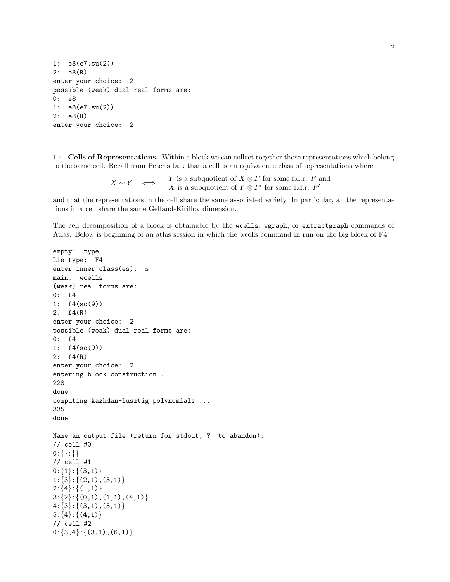```
1: e8(e7.su(2))
2: e8(R)
enter your choice: 2
possible (weak) dual real forms are:
0: e8
1: e8(e7.su(2))
2: e8(R)
enter your choice: 2
```
1.4. Cells of Representations. Within a block we can collect together those representations which belong to the same cell. Recall from Peter's talk that a cell is an equivalence class of representations where

> $X \sim Y \iff$ Y is a subquotient of  $X \otimes F$  for some f.d.r. F and X is a subquotient of  $Y \otimes F'$  for some f.d.r.  $F'$

and that the representations in the cell share the same associated variety. In particular, all the representations in a cell share the same Gelfand-Kirillov dimension.

The cell decomposition of a block is obtainable by the wcells, wgraph, or extractgraph commands of Atlas. Below is beginning of an atlas session in which the wcells command in run on the big block of F4

```
empty: type
Lie type: F4
enter inner class(es): s
main: wcells
(weak) real forms are:
0: f4
1: f4(\text{so}(9))2: f4(R)enter your choice: 2
possible (weak) dual real forms are:
0: f4
1: f4(so(9))
2: f4(R)
enter your choice: 2
entering block construction ...
228
done
computing kazhdan-lusztig polynomials ...
335
done
Name an output file (return for stdout, ? to abandon):
// cell #0
0:\{\}:\{\}// cell #1
0:\{1\}:\{(3,1)\}\1:\{3\}:\{(2,1),(3,1)\}2:\{4\}:\{(1,1)\}3:\{2\}:\{(0,1),(1,1),(4,1)\}4:\{3\}:\{(3,1),(5,1)\}5:\{4\}:\{(4,1)\}\// cell #2
0:\{3,4\}:\{(3,1),(6,1)\}
```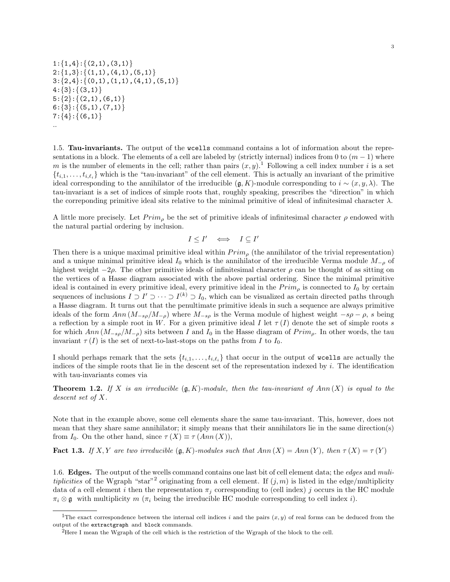$1:\{1,4\}:\{(2,1),(3,1)\}\$  $2:\{1,3\}:\{(1,1),(4,1),(5,1)\}$  $3:\{2,4\}:\{(0,1),(1,1),(4,1),(5,1)\}$  $4:\{3\}:\{(3,1)\}\$  $5:\{2\}:\{(2,1),(6,1)\}$  $6:\{3\}:\{(5,1),(7,1)\}$  $7:\{4\}:\{(6,1)\}\$ ..

1.5. Tau-invariants. The output of the wcells command contains a lot of information about the representations in a block. The elements of a cell are labeled by (strictly internal) indices from 0 to  $(m - 1)$  where m is the number of elements in the cell; rather than pairs  $(x, y)$ .<sup>1</sup> Following a cell index number i is a set  $\{t_{i,1},\ldots,t_{i,\ell_i}\}\$  which is the "tau-invariant" of the cell element. This is actually an invariant of the primitive ideal corresponding to the annihilator of the irreducible  $(\mathfrak{g}, K)$ -module corresponding to  $i \sim (x, y, \lambda)$ . The tau-invariant is a set of indices of simple roots that, roughly speaking, prescribes the "direction" in which the correponding primitive ideal sits relative to the minimal primitive of ideal of infinitesimal character  $\lambda$ .

A little more precisely. Let  $Prim_{\rho}$  be the set of primitive ideals of infinitesimal character  $\rho$  endowed with the natural partial ordering by inclusion.

$$
I \leq I' \iff I \subseteq I'
$$

Then there is a unique maximal primitive ideal within  $Prim_{\rho}$  (the annihilator of the trivial representation) and a unique minimal primitive ideal  $I_0$  which is the annihilator of the irreducible Verma module  $M_{-\rho}$  of highest weight  $-2\rho$ . The other primitive ideals of infinitesimal character  $\rho$  can be thought of as sitting on the vertices of a Hasse diagram associated with the above partial ordering. Since the minimal primitive ideal is contained in every primitive ideal, every primitive ideal in the  $Prim_{\rho}$  is connected to  $I_0$  by certain sequences of inclusions  $I \supset I' \supset \cdots \supset I^{(k)} \supset I_0$ , which can be visualized as certain directed paths through a Hasse diagram. It turns out that the penultimate primitive ideals in such a sequence are always primitive ideals of the form  $Ann (M_{-s\rho}/M_{-\rho})$  where  $M_{-s\rho}$  is the Verma module of highest weight  $-s\rho - \rho$ , s being a reflection by a simple root in W. For a given primitive ideal I let  $\tau(I)$  denote the set of simple roots s for which  $Ann (M_{-s\rho}/M_{-\rho})$  sits between I and I<sub>0</sub> in the Hasse diagram of  $Prim_{\rho}$ . In other words, the tau invariant  $\tau(I)$  is the set of next-to-last-stops on the paths from I to  $I_0$ .

I should perhaps remark that the sets  $\{t_{i,1}, \ldots, t_{i,\ell_i}\}$  that occur in the output of weells are actually the indices of the simple roots that lie in the descent set of the representation indexed by  $i$ . The identification with tau-invariants comes via

**Theorem 1.2.** If X is an irreducible  $(g, K)$ -module, then the tau-invariant of Ann  $(X)$  is equal to the descent set of X.

Note that in the example above, some cell elements share the same tau-invariant. This, however, does not mean that they share same annihilator; it simply means that their annihilators lie in the same direction(s) from  $I_0$ . On the other hand, since  $\tau(X) \equiv \tau(Ann(X)),$ 

**Fact 1.3.** If X, Y are two irreducible  $(g, K)$ -modules such that  $Ann(X) = Ann(Y)$ , then  $\tau(X) = \tau(Y)$ 

1.6. Edges. The output of the wcells command contains one last bit of cell element data; the *edges* and mulitiplicities of the Wgraph "star"<sup>2</sup> originating from a cell element. If  $(j, m)$  is listed in the edge/multiplicity data of a cell element i then the representation  $\pi_i$  corresponding to (cell index) j occurs in the HC module  $\pi_i \otimes \mathfrak{g}$  with multiplicity  $m (\pi_i)$  being the irreducible HC module corresponding to cell index i).

<sup>&</sup>lt;sup>1</sup>The exact correspondence between the internal cell indices i and the pairs  $(x, y)$  of real forms can be deduced from the output of the extractgraph and block commands.

<sup>2</sup>Here I mean the Wgraph of the cell which is the restriction of the Wgraph of the block to the cell.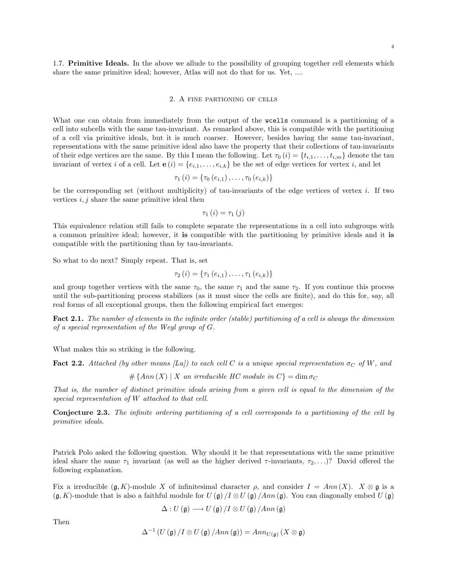1.7. Primitive Ideals. In the above we allude to the possibility of grouping together cell elements which share the same primitive ideal; however, Atlas will not do that for us. Yet, ....

## 2. A fine partioning of cells

What one can obtain from immediately from the output of the world command is a partitioning of a cell into subcells with the same tau-invariant. As remarked above, this is compatible with the partitioning of a cell via primitive ideals, but it is much coarser. However, besides having the same tau-invariant, representations with the same primitive ideal also have the property that their collections of tau-invariants of their edge vertices are the same. By this I mean the following. Let  $\tau_0 (i) = \{t_{i,1}, \ldots, t_{i,m}\}$  denote the tau invariant of vertex i of a cell. Let  $e(i) = \{e_{i,1}, \ldots, e_{i,k}\}\$ be the set of edge vertices for vertex i, and let

$$
\tau_1(i) = \{\tau_0(e_{i,1}), \ldots, \tau_0(e_{i,k})\}
$$

be the corresponding set (without multiplicity) of tau-invariants of the edge vertices of vertex  $i$ . If two vertices  $i, j$  share the same primitive ideal then

$$
\tau_1(i) = \tau_1(j)
$$

This equivalence relation still fails to complete separate the representations in a cell into subgroups with a common primitive ideal; however, it is compatible with the partitioning by primitive ideals and it is compatible with the partitioning than by tau-invariants.

So what to do next? Simply repeat. That is, set

$$
\tau_2(i) = \{\tau_1(e_{i,1}), \ldots, \tau_1(e_{i,k})\}
$$

and group together vertices with the same  $\tau_0$ , the same  $\tau_1$  and the same  $\tau_2$ . If you continue this process until the sub-partitioning process stabilizes (as it must since the cells are finite), and do this for, say, all real forms of all exceptional groups, then the following empirical fact emerges:

Fact 2.1. The number of elements in the infinite order (stable) partitioning of a cell is always the dimension of a special representation of the Weyl group of G.

What makes this so striking is the following.

**Fact 2.2.** Attached (by other means [Lu]) to each cell C is a unique special representation  $\sigma_C$  of W, and

 $\#\{Ann(X) \mid X \text{ an irreducible HC module in } C\} = \dim \sigma_C$ 

That is, the number of distinct primitive ideals arising from a given cell is equal to the dimension of the special representation of W attached to that cell.

Conjecture 2.3. The infinite ordering partitioning of a cell corresponds to a partitioning of the cell by primitive ideals.

Patrick Polo asked the following question. Why should it be that representations with the same primitive ideal share the same  $\tau_1$  invariant (as well as the higher derived  $\tau$ -invariants,  $\tau_2, \ldots$ )? David offered the following explanation.

Fix a irreducible  $(\mathfrak{g}, K)$ -module X of infinitesimal character  $\rho$ , and consider  $I = Ann(X)$ .  $X \otimes \mathfrak{g}$  is a  $(\mathfrak{g}, K)$ -module that is also a faithful module for  $U(\mathfrak{g})/I \otimes U(\mathfrak{g})/Ann(\mathfrak{g})$ . You can diagonally embed  $U(\mathfrak{g})$ 

$$
\Delta: U(\mathfrak{g}) \longrightarrow U(\mathfrak{g}) / I \otimes U(\mathfrak{g}) / Ann(\mathfrak{g})
$$

Then

$$
\Delta^{-1}\left(U\left(\mathfrak g\right)/I\otimes U\left(\mathfrak g\right)/Ann\left(\mathfrak g\right)\right)=Ann_{U\left(\mathfrak g\right)}\left(X\otimes\mathfrak g\right)
$$